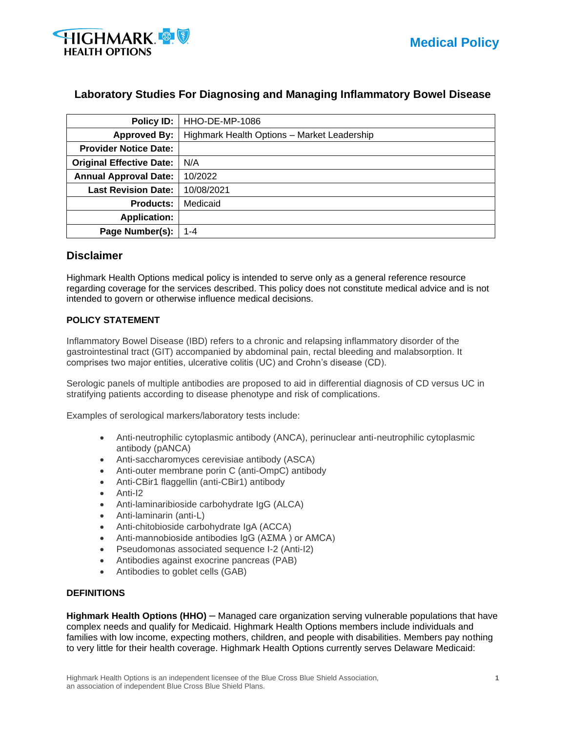

# **Laboratory Studies For Diagnosing and Managing Inflammatory Bowel Disease**

| Policy ID:                      | HHO-DE-MP-1086                              |  |  |
|---------------------------------|---------------------------------------------|--|--|
| <b>Approved By:</b>             | Highmark Health Options - Market Leadership |  |  |
| <b>Provider Notice Date:</b>    |                                             |  |  |
| <b>Original Effective Date:</b> | N/A                                         |  |  |
| <b>Annual Approval Date:</b>    | 10/2022                                     |  |  |
| <b>Last Revision Date:</b>      | 10/08/2021                                  |  |  |
| <b>Products:</b>                | Medicaid                                    |  |  |
| <b>Application:</b>             |                                             |  |  |
| Page Number(s):                 | 1-4                                         |  |  |

## **Disclaimer**

Highmark Health Options medical policy is intended to serve only as a general reference resource regarding coverage for the services described. This policy does not constitute medical advice and is not intended to govern or otherwise influence medical decisions.

## **POLICY STATEMENT**

Inflammatory Bowel Disease (IBD) refers to a chronic and relapsing inflammatory disorder of the gastrointestinal tract (GIT) accompanied by abdominal pain, rectal bleeding and malabsorption. It comprises two major entities, ulcerative colitis (UC) and Crohn's disease (CD).

Serologic panels of multiple antibodies are proposed to aid in differential diagnosis of CD versus UC in stratifying patients according to disease phenotype and risk of complications.

Examples of serological markers/laboratory tests include:

- Anti-neutrophilic cytoplasmic antibody (ANCA), perinuclear anti-neutrophilic cytoplasmic antibody (pANCA)
- Anti-saccharomyces cerevisiae antibody (ASCA)
- Anti-outer membrane porin C (anti-OmpC) antibody
- Anti-CBir1 flaggellin (anti-CBir1) antibody
- Anti-I2
- Anti-laminaribioside carbohydrate IgG (ALCA)
- Anti-laminarin (anti-L)
- Anti-chitobioside carbohydrate IgA (ACCA)
- Anti-mannobioside antibodies IgG (AΣMA ) or AMCA)
- Pseudomonas associated sequence I-2 (Anti-I2)
- Antibodies against exocrine pancreas (PAB)
- Antibodies to goblet cells (GAB)

#### **DEFINITIONS**

**Highmark Health Options (HHO)** – Managed care organization serving vulnerable populations that have complex needs and qualify for Medicaid. Highmark Health Options members include individuals and families with low income, expecting mothers, children, and people with disabilities. Members pay nothing to very little for their health coverage. Highmark Health Options currently serves Delaware Medicaid: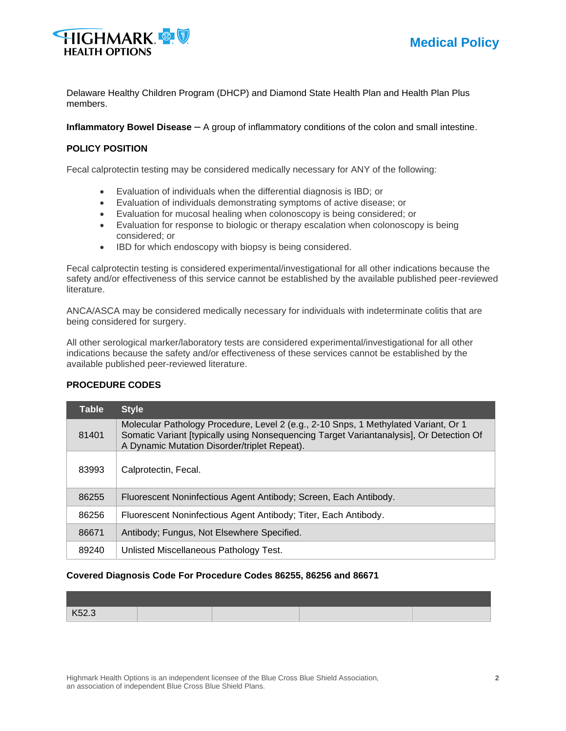

Delaware Healthy Children Program (DHCP) and Diamond State Health Plan and Health Plan Plus members.

**Inflammatory Bowel Disease** – A group of inflammatory conditions of the colon and small intestine.

### **POLICY POSITION**

Fecal calprotectin testing may be considered medically necessary for ANY of the following:

- Evaluation of individuals when the differential diagnosis is IBD; or
- Evaluation of individuals demonstrating symptoms of active disease; or
- Evaluation for mucosal healing when colonoscopy is being considered; or
- Evaluation for response to biologic or therapy escalation when colonoscopy is being considered; or
- IBD for which endoscopy with biopsy is being considered.

Fecal calprotectin testing is considered experimental/investigational for all other indications because the safety and/or effectiveness of this service cannot be established by the available published peer-reviewed literature.

ANCA/ASCA may be considered medically necessary for individuals with indeterminate colitis that are being considered for surgery.

All other serological marker/laboratory tests are considered experimental/investigational for all other indications because the safety and/or effectiveness of these services cannot be established by the available published peer-reviewed literature.

| <b>Table</b> | <b>Style</b>                                                                                                                                                                                                                   |
|--------------|--------------------------------------------------------------------------------------------------------------------------------------------------------------------------------------------------------------------------------|
| 81401        | Molecular Pathology Procedure, Level 2 (e.g., 2-10 Snps, 1 Methylated Variant, Or 1<br>Somatic Variant [typically using Nonsequencing Target Variantanalysis], Or Detection Of<br>A Dynamic Mutation Disorder/triplet Repeat). |
| 83993        | Calprotectin, Fecal.                                                                                                                                                                                                           |
| 86255        | Fluorescent Noninfectious Agent Antibody; Screen, Each Antibody.                                                                                                                                                               |
| 86256        | Fluorescent Noninfectious Agent Antibody; Titer, Each Antibody.                                                                                                                                                                |
| 86671        | Antibody; Fungus, Not Elsewhere Specified.                                                                                                                                                                                     |
| 89240        | Unlisted Miscellaneous Pathology Test.                                                                                                                                                                                         |

## **PROCEDURE CODES**

#### **Covered Diagnosis Code For Procedure Codes 86255, 86256 and 86671**

| K52.3 |  |  |
|-------|--|--|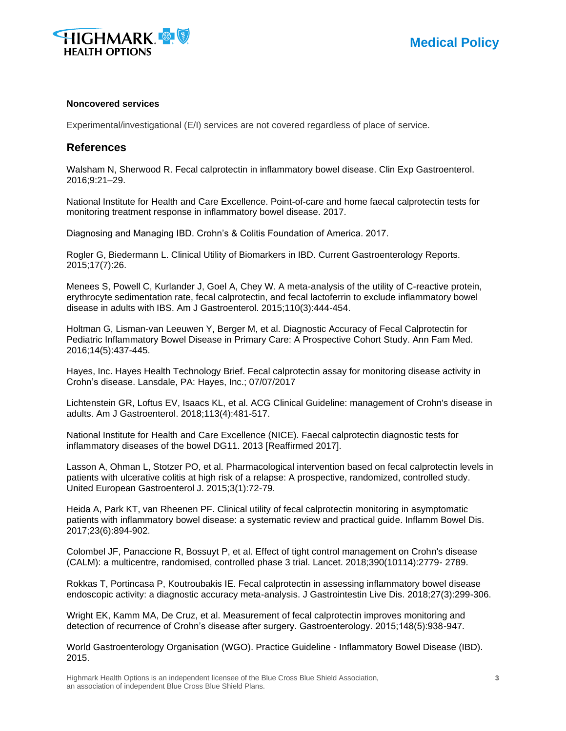

#### **Noncovered services**

Experimental/investigational (E/I) services are not covered regardless of place of service.

## **References**

Walsham N, Sherwood R. Fecal calprotectin in inflammatory bowel disease. Clin Exp Gastroenterol. 2016;9:21–29.

National Institute for Health and Care Excellence. Point-of-care and home faecal calprotectin tests for monitoring treatment response in inflammatory bowel disease. 2017.

Diagnosing and Managing IBD. Crohn's & Colitis Foundation of America. 2017.

Rogler G, Biedermann L. Clinical Utility of Biomarkers in IBD. Current Gastroenterology Reports. 2015;17(7):26.

Menees S, Powell C, Kurlander J, Goel A, Chey W. A meta-analysis of the utility of C-reactive protein, erythrocyte sedimentation rate, fecal calprotectin, and fecal lactoferrin to exclude inflammatory bowel disease in adults with IBS. Am J Gastroenterol. 2015;110(3):444-454.

Holtman G, Lisman-van Leeuwen Y, Berger M, et al. Diagnostic Accuracy of Fecal Calprotectin for Pediatric Inflammatory Bowel Disease in Primary Care: A Prospective Cohort Study. Ann Fam Med. 2016;14(5):437-445.

Hayes, Inc. Hayes Health Technology Brief. Fecal calprotectin assay for monitoring disease activity in Crohn's disease. Lansdale, PA: Hayes, Inc.; 07/07/2017

Lichtenstein GR, Loftus EV, Isaacs KL, et al. ACG Clinical Guideline: management of Crohn's disease in adults. Am J Gastroenterol. 2018;113(4):481-517.

National Institute for Health and Care Excellence (NICE). Faecal calprotectin diagnostic tests for inflammatory diseases of the bowel DG11. 2013 [Reaffirmed 2017].

Lasson A, Ohman L, Stotzer PO, et al. Pharmacological intervention based on fecal calprotectin levels in patients with ulcerative colitis at high risk of a relapse: A prospective, randomized, controlled study. United European Gastroenterol J. 2015;3(1):72-79.

Heida A, Park KT, van Rheenen PF. Clinical utility of fecal calprotectin monitoring in asymptomatic patients with inflammatory bowel disease: a systematic review and practical guide. Inflamm Bowel Dis. 2017;23(6):894-902.

Colombel JF, Panaccione R, Bossuyt P, et al. Effect of tight control management on Crohn's disease (CALM): a multicentre, randomised, controlled phase 3 trial. Lancet. 2018;390(10114):2779- 2789.

Rokkas T, Portincasa P, Koutroubakis IE. Fecal calprotectin in assessing inflammatory bowel disease endoscopic activity: a diagnostic accuracy meta-analysis. J Gastrointestin Live Dis. 2018;27(3):299-306.

Wright EK, Kamm MA, De Cruz, et al. Measurement of fecal calprotectin improves monitoring and detection of recurrence of Crohn's disease after surgery. Gastroenterology. 2015;148(5):938-947.

World Gastroenterology Organisation (WGO). Practice Guideline - Inflammatory Bowel Disease (IBD). 2015.